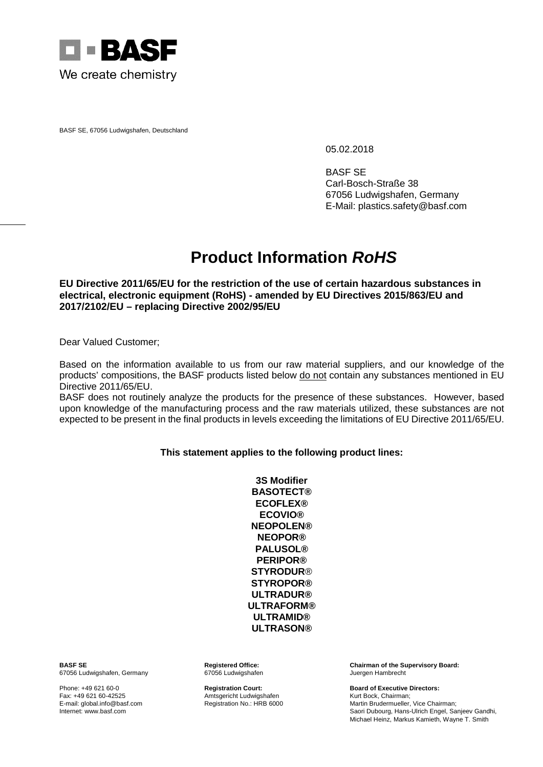

BASF SE, 67056 Ludwigshafen, Deutschland

05.02.2018

BASF SE Carl-Bosch-Straße 38 67056 Ludwigshafen, Germany E-Mail: plastics.safety@basf.com

## **Product Information** *RoHS*

**EU Directive 2011/65/EU for the restriction of the use of certain hazardous substances in electrical, electronic equipment (RoHS) - amended by EU Directives 2015/863/EU and 2017/2102/EU – replacing Directive 2002/95/EU** 

Dear Valued Customer;

Based on the information available to us from our raw material suppliers, and our knowledge of the products' compositions, the BASF products listed below do not contain any substances mentioned in EU Directive 2011/65/EU.

BASF does not routinely analyze the products for the presence of these substances. However, based upon knowledge of the manufacturing process and the raw materials utilized, these substances are not expected to be present in the final products in levels exceeding the limitations of EU Directive 2011/65/EU.

## **This statement applies to the following product lines:**

**3S Modifier BASOTECT® ECOFLEX® ECOVIO® NEOPOLEN® NEOPOR® PALUSOL® PERIPOR® STYRODUR**® **STYROPOR® ULTRADUR® ULTRAFORM® ULTRAMID® ULTRASON®**

67056 Ludwigshafen, Germany

Fax: +49 621 60-42525 <br>E-mail: global.info@basf.com Registration No.: HRB 6000

**BASF SE Registered Office: Chairman of the Supervisory Board:**

Phone: +49 621 60-0 **Registration Court: Board of Executive Directors:** E-mail: global.info@basf.com **Example 2018** Registration No.: HRB 6000 Martin Brudermueller, Vice Chairman;<br>Internet: www.basf.com Martin Brudermueller, Nice Chairman; Internet: www.basf.com Saori Dubourg, Hans-Ulrich Engel, Sanjeev Gandhi, Michael Heinz, Markus Kamieth, Wayne T. Smith